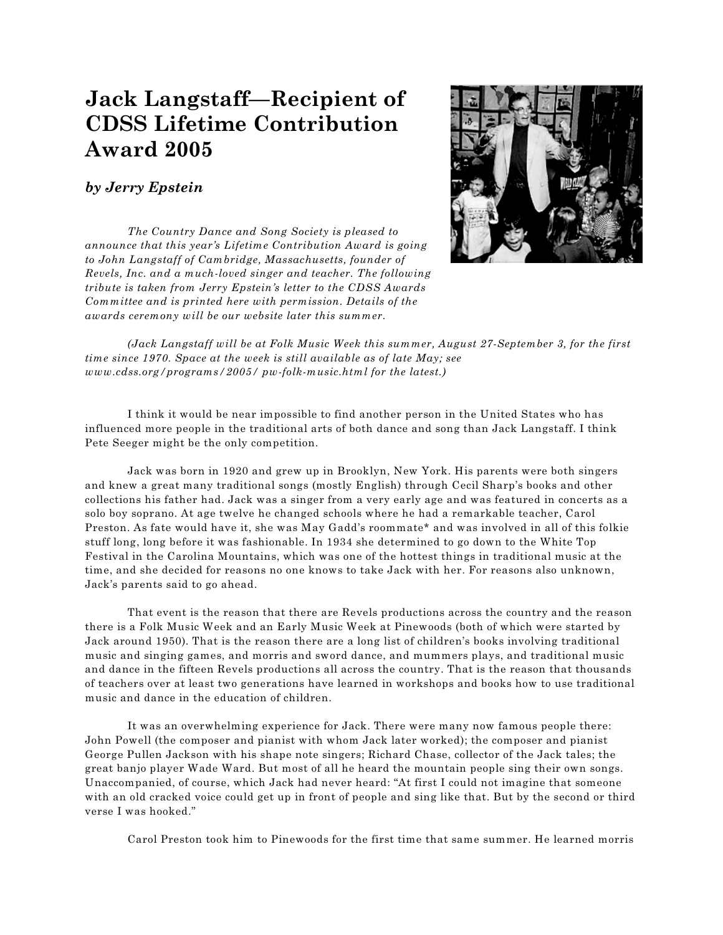## **Jack Langstaff—Recipient of CDSS Lifetime Contribution Award 2005**

## *by Jerry Epstein*

*The Country Dance and Song Society is pleased to announce that this year's Lifetime Contribution Award is going to John Langstaff of Cambridge, Massachusetts, founder of Revels, Inc. and a much-loved singer and teacher. The following tribute is taken from Jerry Epstein's letter to the CDSS Awards Committee and is printed here with permission. Details of the awards ceremony will be our website later this summer.*



*(Jack Langstaff will be at Folk Music Week this summer, August 27-September 3, for the first time since 1970. Space at the week is still available as of late May; see www.cdss.org/programs/2005/ pw-folk-music.html for the latest.)*

I think it would be near impossible to find another person in the United States who has influenced more people in the traditional arts of both dance and song than Jack Langstaff. I think Pete Seeger might be the only competition.

Jack was born in 1920 and grew up in Brooklyn, New York. His parents were both singers and knew a great many traditional songs (mostly English) through Cecil Sharp's books and other collections his father had. Jack was a singer from a very early age and was featured in concerts as a solo boy soprano. At age twelve he changed schools where he had a remarkable teacher, Carol Preston. As fate would have it, she was May Gadd's roommate\* and was involved in all of this folkie stuff long, long before it was fashionable. In 1934 she determined to go down to the White Top Festival in the Carolina Mountains, which was one of the hottest things in traditional music at the time, and she decided for reasons no one knows to take Jack with her. For reasons also unknown, Jack's parents said to go ahead.

That event is the reason that there are Revels productions across the country and the reason there is a Folk Music Week and an Early Music Week at Pinewoods (both of which were started by Jack around 1950). That is the reason there are a long list of children's books involving traditional music and singing games, and morris and sword dance, and mummers plays, and traditional music and dance in the fifteen Revels productions all across the country. That is the reason that thousands of teachers over at least two generations have learned in workshops and books how to use traditional music and dance in the education of children.

It was an overwhelming experience for Jack. There were many now famous people there: John Powell (the composer and pianist with whom Jack later worked); the composer and pianist George Pullen Jackson with his shape note singers; Richard Chase, collector of the Jack tales; the great banjo player Wade Ward. But most of all he heard the mountain people sing their own songs. Unaccompanied, of course, which Jack had never heard: "At first I could not imagine that someone with an old cracked voice could get up in front of people and sing like that. But by the second or third verse I was hooked."

Carol Preston took him to Pinewoods for the first time that same summer. He learned morris